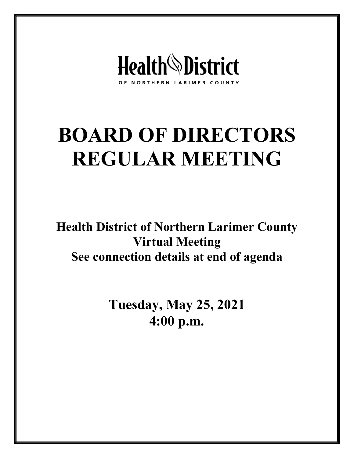

# **BOARD OF DIRECTORS REGULAR MEETING**

**Health District of Northern Larimer County Virtual Meeting See connection details at end of agenda**

> **Tuesday, May 25, 2021 4:00 p.m.**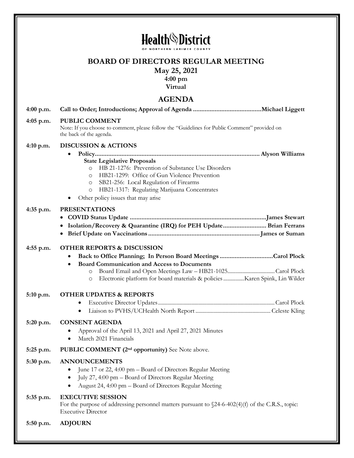|             | <b>Health</b> <sup>\</sup> District<br>OF NORTHERN LARIMER COU                                                                                                                                                                                                                                                |
|-------------|---------------------------------------------------------------------------------------------------------------------------------------------------------------------------------------------------------------------------------------------------------------------------------------------------------------|
|             | <b>BOARD OF DIRECTORS REGULAR MEETING</b><br>May 25, 2021<br>$4:00 \text{ pm}$<br>Virtual                                                                                                                                                                                                                     |
|             | <b>AGENDA</b>                                                                                                                                                                                                                                                                                                 |
| $4:00$ p.m. |                                                                                                                                                                                                                                                                                                               |
| 4:05 p.m.   | PUBLIC COMMENT<br>Note: If you choose to comment, please follow the "Guidelines for Public Comment" provided on<br>the back of the agenda.                                                                                                                                                                    |
| $4:10$ p.m. | <b>DISCUSSION &amp; ACTIONS</b>                                                                                                                                                                                                                                                                               |
|             | <b>State Legislative Proposals</b><br>HB 21-1276: Prevention of Substance Use Disorders<br>$\circ$<br>HB21-1299: Office of Gun Violence Prevention<br>$\circ$<br>SB21-256: Local Regulation of Firearms<br>O<br>HB21-1317: Regulating Marijuana Concentrates<br>$\circ$<br>Other policy issues that may arise |
| 4:35 p.m.   | <b>PRESENTATIONS</b>                                                                                                                                                                                                                                                                                          |
|             | Isolation/Recovery & Quarantine (IRQ) for PEH Update Brian Ferrans                                                                                                                                                                                                                                            |
| 4:55 p.m.   | <b>OTHER REPORTS &amp; DISCUSSION</b><br>٠<br><b>Board Communication and Access to Documents</b><br>٠<br>Electronic platform for board materials & policies Karen Spink, Lin Wilder                                                                                                                           |
| 5:10 p.m.   | <b>OTHER UPDATES &amp; REPORTS</b><br>٠<br>٠                                                                                                                                                                                                                                                                  |
| 5:20 p.m.   | <b>CONSENT AGENDA</b><br>Approval of the April 13, 2021 and April 27, 2021 Minutes<br>March 2021 Financials<br>$\bullet$                                                                                                                                                                                      |
| 5:25 p.m.   | PUBLIC COMMENT (2 <sup>nd</sup> opportunity) See Note above.                                                                                                                                                                                                                                                  |
| 5:30 p.m.   | <b>ANNOUNCEMENTS</b>                                                                                                                                                                                                                                                                                          |
|             | June 17 or 22, 4:00 pm - Board of Directors Regular Meeting<br>July 27, 4:00 pm - Board of Directors Regular Meeting<br>$\bullet$<br>August 24, 4:00 pm - Board of Directors Regular Meeting<br>$\bullet$                                                                                                     |
| 5:35 p.m.   | <b>EXECUTIVE SESSION</b><br>For the purpose of addressing personnel matters pursuant to $24-6-402(4)(f)$ of the C.R.S., topic:<br><b>Executive Director</b>                                                                                                                                                   |
|             |                                                                                                                                                                                                                                                                                                               |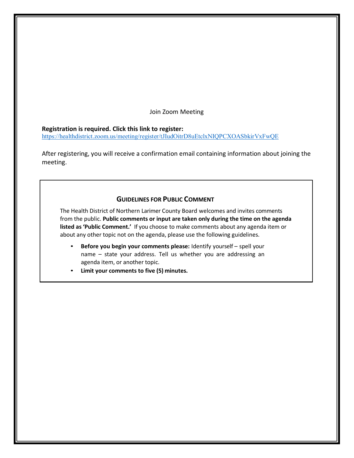Join Zoom Meeting

#### **Registration is required. Click this link to register:**

<https://healthdistrict.zoom.us/meeting/register/tJIudOitrD8uEtclxNIQPCXOASbkirVxFwQE>

After registering, you will receive a confirmation email containing information about joining the meeting.

#### **GUIDELINES FOR PUBLIC COMMENT**

The Health District of Northern Larimer County Board welcomes and invites comments from the public. **Public comments or input are taken only during the time on the agenda listed as 'Public Comment.'** If you choose to make comments about any agenda item or about any other topic not on the agenda, please use the following guidelines.

- **Before you begin your comments please:** Identify yourself spell your name – state your address. Tell us whether you are addressing an agenda item, or another topic.
- **Limit your comments to five (5) minutes.**